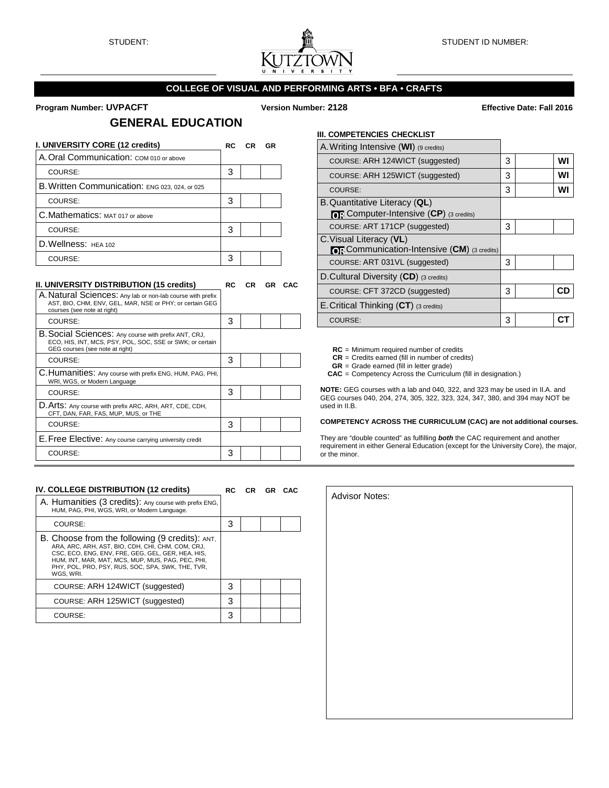

### **COLLEGE OF VISUAL AND PERFORMING ARTS • BFA • CRAFTS**

#### **Program Number: UVPACFT Version Number: 2128 Effective Date: Fall 2016**

## **GENERAL EDUCATION**

| I. UNIVERSITY CORE (12 credits)                | RC. | CR. | <b>GR</b> |
|------------------------------------------------|-----|-----|-----------|
| A. Oral Communication: COM 010 or above        |     |     |           |
| COURSE:                                        | 3   |     |           |
| B. Written Communication: ENG 023, 024, or 025 |     |     |           |
| COURSE:                                        | 3   |     |           |
| C. Mathematics: MAT 017 or above               |     |     |           |
| COURSE:                                        | 3   |     |           |
| D. Wellness: HEA 102                           |     |     |           |
| COURSE:                                        | 3   |     |           |

#### **II. UNIVERSITY DISTRIBUTION (15 credits) RC CR GR CAC**

| A. Natural Sciences: Any lab or non-lab course with prefix<br>AST, BIO, CHM, ENV, GEL, MAR, NSE or PHY; or certain GEG<br>courses (see note at right) |   |  |  |
|-------------------------------------------------------------------------------------------------------------------------------------------------------|---|--|--|
| COURSE:                                                                                                                                               | з |  |  |
| B. Social Sciences: Any course with prefix ANT, CRJ,<br>ECO, HIS, INT, MCS, PSY, POL, SOC, SSE or SWK; or certain<br>GEG courses (see note at right)  |   |  |  |
| COURSE:                                                                                                                                               | з |  |  |
| C. Humanities: Any course with prefix ENG, HUM, PAG, PHI,<br>WRI, WGS, or Modern Language                                                             |   |  |  |
| COURSE:                                                                                                                                               | з |  |  |
| D. Arts: Any course with prefix ARC, ARH, ART, CDE, CDH,<br>CFT, DAN, FAR, FAS, MUP, MUS, or THE                                                      |   |  |  |
| COURSE:                                                                                                                                               | 3 |  |  |
| E. Free Elective: Any course carrying university credit                                                                                               |   |  |  |
| COURSE:                                                                                                                                               | 3 |  |  |

## **III. COMPETENCIES CHECKLIST**  A.Writing Intensive (**WI**) (9 credits) COURSE: ARH 124WICT (suggested) 3 **WI** COURSE: ARH 125WICT (suggested) 3 **WI** COURSE: 3 **WI** B.Quantitative Literacy (**QL**) *o***<sub>R</sub>** Computer-Intensive (CP) (3 credits) COURSE: ART 171CP (suggested) 3 C.Visual Literacy (**VL**) *OR* Communication-Intensive (CM) (3 credits) COURSE: ART 031VL (suggested) 3 D.Cultural Diversity (**CD**) (3 credits) COURSE: CFT 372CD (suggested) 3 **CD**

**RC** = Minimum required number of credits

**CR** = Credits earned (fill in number of credits)

**GR** = Grade earned (fill in letter grade)

E.Critical Thinking (**CT**) (3 credits)

**CAC** = Competency Across the Curriculum (fill in designation.)

**NOTE:** GEG courses with a lab and 040, 322, and 323 may be used in II.A. and GEG courses 040, 204, 274, 305, 322, 323, 324, 347, 380, and 394 may NOT be used in II.B.

COURSE: 3 **CT**

#### **COMPETENCY ACROSS THE CURRICULUM (CAC) are not additional courses.**

They are "double counted" as fulfilling *both* the CAC requirement and another requirement in either General Education (except for the University Core), the major, or the minor.

| IV. COLLEGE DISTRIBUTION (12 credits)                                                                                                                                                                                                                                           | RC | CR GR CAC |  |
|---------------------------------------------------------------------------------------------------------------------------------------------------------------------------------------------------------------------------------------------------------------------------------|----|-----------|--|
| A. Humanities (3 credits): Any course with prefix ENG,<br>HUM, PAG, PHI, WGS, WRI, or Modern Language.                                                                                                                                                                          |    |           |  |
| COURSE:                                                                                                                                                                                                                                                                         | 3  |           |  |
| B. Choose from the following (9 credits): ANT,<br>ARA, ARC, ARH, AST, BIO, CDH, CHI, CHM, COM, CRJ,<br>CSC. ECO. ENG. ENV. FRE. GEG. GEL. GER. HEA. HIS.<br>HUM. INT. MAR. MAT. MCS. MUP. MUS. PAG. PEC. PHI.<br>PHY, POL, PRO, PSY, RUS, SOC, SPA, SWK, THE, TVR,<br>WGS, WRI. |    |           |  |
| COURSE: ARH 124WICT (suggested)                                                                                                                                                                                                                                                 | з  |           |  |
| COURSE: ARH 125WICT (suggested)                                                                                                                                                                                                                                                 | з  |           |  |
| COURSE:                                                                                                                                                                                                                                                                         | з  |           |  |

| <b>Advisor Notes:</b> |
|-----------------------|
|                       |
|                       |
|                       |
|                       |
|                       |
|                       |
|                       |
|                       |
|                       |
|                       |
|                       |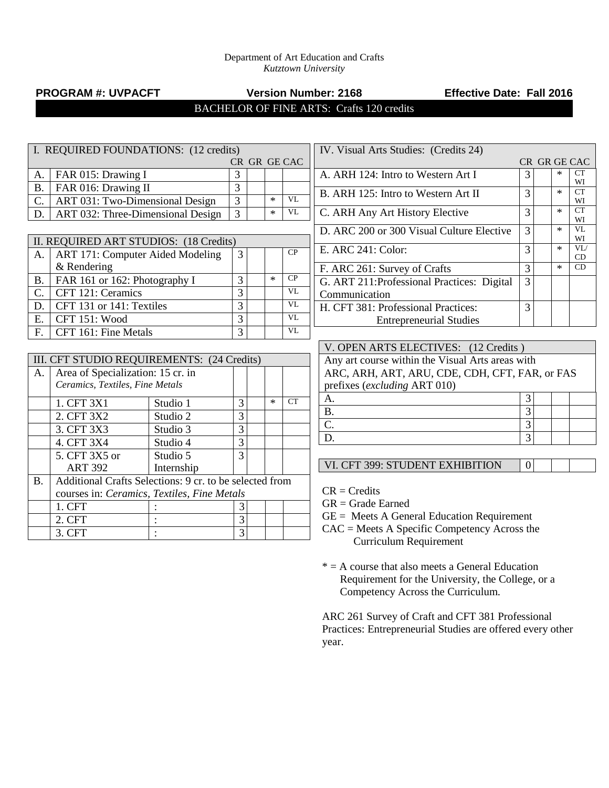#### Department of Art Education and Crafts *Kutztown University*

# **PROGRAM #: UVPACFT Version Number: 2168 Effective Date: Fall 2016**

BACHELOR OF FINE ARTS: Crafts 120 credits

| I. REQUIRED FOUNDATIONS: (12 credits) |                                                         |              |                |  |        |                        |  |
|---------------------------------------|---------------------------------------------------------|--------------|----------------|--|--------|------------------------|--|
|                                       |                                                         | CR GR GE CAC |                |  |        |                        |  |
| A.                                    | FAR 015: Drawing I                                      |              | 3              |  |        |                        |  |
| $\overline{B}$ .                      | FAR 016: Drawing II                                     |              | $\overline{3}$ |  |        |                        |  |
| C.                                    | ART 031: Two-Dimensional Design                         |              | $\overline{3}$ |  | $\ast$ | VL                     |  |
| D.                                    | ART 032: Three-Dimensional Design                       |              | 3              |  | $\ast$ | VL                     |  |
|                                       |                                                         |              |                |  |        |                        |  |
|                                       | II. REQUIRED ART STUDIOS: (18 Credits)                  |              |                |  |        |                        |  |
| A.                                    | <b>ART 171: Computer Aided Modeling</b>                 |              | 3              |  |        | CP                     |  |
|                                       | & Rendering                                             |              |                |  |        |                        |  |
| <b>B.</b>                             | FAR 161 or 162: Photography I                           |              | 3              |  | $\ast$ | $\overline{CP}$        |  |
| C.                                    | CFT 121: Ceramics                                       |              | 3              |  |        | <b>VL</b>              |  |
| D.                                    | CFT 131 or 141: Textiles                                |              | 3              |  |        | $\overline{\text{VL}}$ |  |
| E.                                    | CFT 151: Wood                                           |              | $\overline{3}$ |  |        | VL                     |  |
| F.                                    | CFT 161: Fine Metals                                    |              | 3              |  |        | $\overline{\text{VL}}$ |  |
|                                       |                                                         |              |                |  |        |                        |  |
|                                       | III. CFT STUDIO REQUIREMENTS: (24 Credits)              |              |                |  |        |                        |  |
| A.                                    | Area of Specialization: 15 cr. in                       |              |                |  |        |                        |  |
|                                       | Ceramics, Textiles, Fine Metals                         |              |                |  |        |                        |  |
|                                       | 1. CFT 3X1                                              | Studio 1     | 3              |  | $\ast$ | <b>CT</b>              |  |
|                                       | 2. CFT 3X2                                              | Studio 2     | $\overline{3}$ |  |        |                        |  |
|                                       | 3. CFT 3X3                                              | Studio 3     | 3              |  |        |                        |  |
|                                       | 4. CFT 3X4                                              | Studio 4     | 3              |  |        |                        |  |
|                                       | 5. CFT 3X5 or                                           | Studio 5     | 3              |  |        |                        |  |
|                                       | <b>ART 392</b><br>Internship                            |              |                |  |        |                        |  |
| <b>B.</b>                             | Additional Crafts Selections: 9 cr. to be selected from |              |                |  |        |                        |  |
|                                       | courses in: Ceramics, Textiles, Fine Metals             |              |                |  |        |                        |  |
|                                       | 1. CFT                                                  |              | 3              |  |        |                        |  |
|                                       | 2. CFT                                                  |              | 3              |  |        |                        |  |
|                                       | 3. CFT                                                  |              | $\overline{3}$ |  |        |                        |  |

| IV. Visual Arts Studies: (Credits 24)       |   |        |              |
|---------------------------------------------|---|--------|--------------|
|                                             |   |        | CR GR GE CAC |
| A. ARH 124: Intro to Western Art I          | 3 | $\ast$ | CТ           |
|                                             |   |        | WI           |
| B. ARH 125: Intro to Western Art II         | 3 | *      | <b>CT</b>    |
|                                             |   |        | WI           |
| C. ARH Any Art History Elective             | 3 | $\ast$ | CT<br>WI     |
|                                             |   | ×      | VI.          |
| D. ARC 200 or 300 Visual Culture Elective   | 3 |        | WI           |
|                                             |   | ×      | VI /         |
| E. ARC $241:$ Color:                        | 3 |        | CD           |
| F. ARC 261: Survey of Crafts                | 3 | ×      | CD           |
| G. ART 211: Professional Practices: Digital | 3 |        |              |
| Communication                               |   |        |              |
| H. CFT 381: Professional Practices:         | 3 |        |              |
| <b>Entrepreneurial Studies</b>              |   |        |              |

| V. OPEN ARTS ELECTIVES: (12 Credits)             |  |  |  |  |  |  |  |
|--------------------------------------------------|--|--|--|--|--|--|--|
| Any art course within the Visual Arts areas with |  |  |  |  |  |  |  |
| ARC, ARH, ART, ARU, CDE, CDH, CFT, FAR, or FAS   |  |  |  |  |  |  |  |
| prefixes ( <i>excluding ART 010</i> )            |  |  |  |  |  |  |  |
| А.                                               |  |  |  |  |  |  |  |
| <b>B.</b>                                        |  |  |  |  |  |  |  |
| $\mathsf{C}$                                     |  |  |  |  |  |  |  |
|                                                  |  |  |  |  |  |  |  |

VI. CFT 399: STUDENT EXHIBITION 0

 $CR = C<sub>redits</sub>$ 

GR = Grade Earned

 $GE =$  Meets A General Education Requirement

CAC = Meets A Specific Competency Across the Curriculum Requirement

 $* = A$  course that also meets a General Education Requirement for the University, the College, or a Competency Across the Curriculum.

ARC 261 Survey of Craft and CFT 381 Professional Practices: Entrepreneurial Studies are offered every other year.